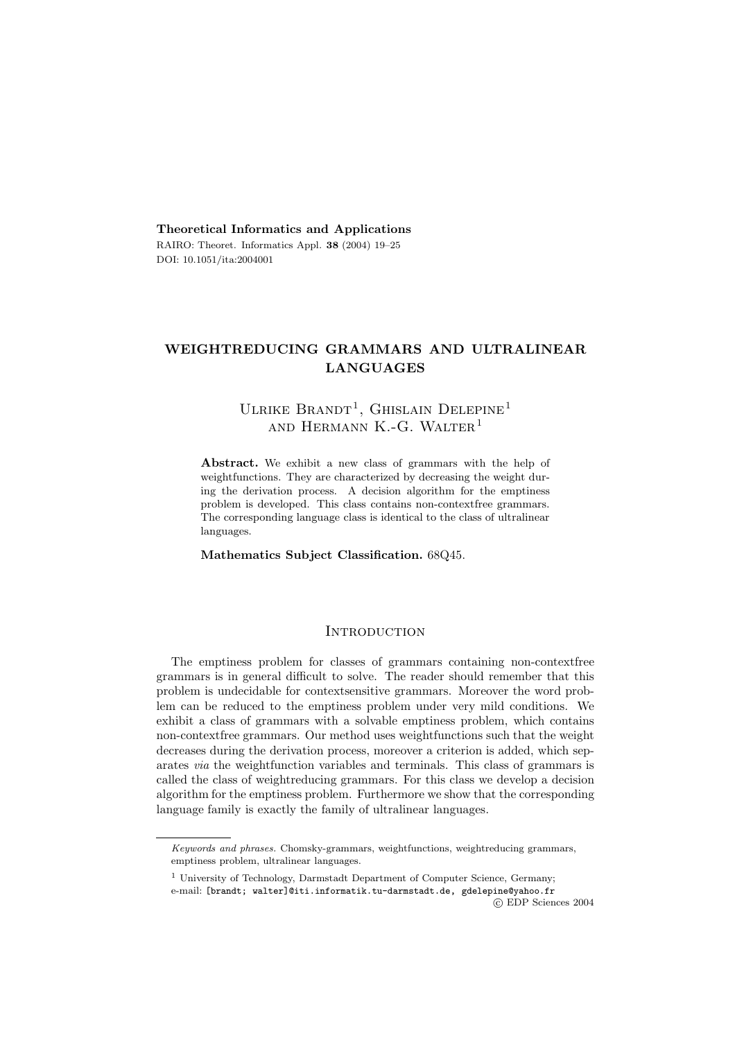**Theoretical Informatics and Applications** RAIRO: Theoret. Informatics Appl. **38** (2004) 19–25 DOI: 10.1051/ita:2004001

# **WEIGHTREDUCING GRAMMARS AND ULTRALINEAR LANGUAGES**

# ULRIKE BRANDT<sup>1</sup>, GHISLAIN DELEPINE<sup>1</sup> AND HERMANN K.-G. WALTER<sup>1</sup>

**Abstract.** We exhibit a new class of grammars with the help of weightfunctions. They are characterized by decreasing the weight during the derivation process. A decision algorithm for the emptiness problem is developed. This class contains non-contextfree grammars. The corresponding language class is identical to the class of ultralinear languages.

**Mathematics Subject Classification.** 68Q45.

# **INTRODUCTION**

The emptiness problem for classes of grammars containing non-contextfree grammars is in general difficult to solve. The reader should remember that this problem is undecidable for contextsensitive grammars. Moreover the word problem can be reduced to the emptiness problem under very mild conditions. We exhibit a class of grammars with a solvable emptiness problem, which contains non-contextfree grammars. Our method uses weightfunctions such that the weight decreases during the derivation process, moreover a criterion is added, which separates *via* the weightfunction variables and terminals. This class of grammars is called the class of weightreducing grammars. For this class we develop a decision algorithm for the emptiness problem. Furthermore we show that the corresponding language family is exactly the family of ultralinear languages.

c EDP Sciences 2004

*Keywords and phrases.* Chomsky-grammars, weightfunctions, weightreducing grammars, emptiness problem, ultralinear languages.

<sup>&</sup>lt;sup>1</sup> University of Technology, Darmstadt Department of Computer Science, Germany; e-mail: [brandt; walter]@iti.informatik.tu-darmstadt.de, gdelepine@yahoo.fr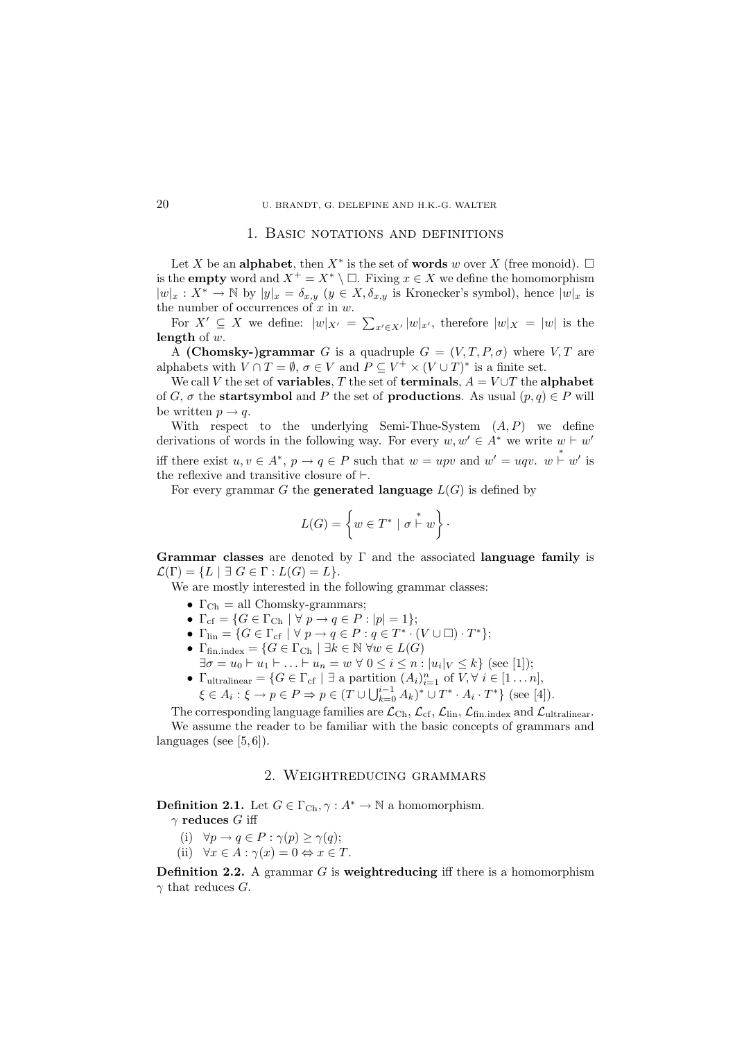## 20 U. BRANDT, G. DELEPINE AND H.K.-G. WALTER

#### 1. Basic notations and definitions

Let X be an **alphabet**, then  $X^*$  is the set of **words** w over X (free monoid).  $\Box$ is the **empty** word and  $X^+ = X^* \setminus \square$ . Fixing  $x \in X$  we define the homomorphism  $|w|_x : X^* \to \mathbb{N}$  by  $|y|_x = \delta_{x,y}$   $(y \in X, \delta_{x,y}$  is Kronecker's symbol), hence  $|w|_x$  is the number of occurrences of  $x$  in  $w$ .

For  $X' \subseteq X$  we define:  $|w|_{X'} = \sum_{x' \in X'} |w|_{x'}$ , therefore  $|w|_X = |w|$  is the **length** of w.

A **(Chomsky-)grammar** G is a quadruple  $G = (V, T, P, \sigma)$  where  $V, T$  are alphabets with  $V \cap T = \emptyset$ ,  $\sigma \in V$  and  $P \subseteq V^+ \times (V \cup T)^*$  is a finite set.

We call V the set of **variables**, T the set of **terminals**,  $A = V \cup T$  the **alphabet** of G,  $\sigma$  the **startsymbol** and P the set of **productions**. As usual  $(p, q) \in P$  will be written  $p \rightarrow q$ .

With respect to the underlying Semi-Thue-System  $(A, P)$  we define derivations of words in the following way. For every  $w, w' \in A^*$  we write  $w \vdash w'$ iff there exist  $u, v \in A^*, p \to q \in P$  such that  $w = upv$  and  $w' = uqv$ .  $w \stackrel{*}{\vdash} w'$  is the reflexive and transitive closure of  $\vdash$ .

For every grammar  $G$  the **generated language**  $L(G)$  is defined by

$$
L(G) = \left\{ w \in T^* \mid \sigma \stackrel{*}{\vdash} w \right\} \cdot
$$

**Grammar classes** are denoted by Γ and the associated **language family** is  $\mathcal{L}(\Gamma) = \{L \mid \exists G \in \Gamma : L(G) = L\}.$ 

We are mostly interested in the following grammar classes:

- $\Gamma_{\text{Ch}} = \text{all Chomsky-grammars};$
- $\Gamma_{\mathrm{cf}} = \{G \in \Gamma_{\mathrm{Ch}} \mid \forall \ p \rightarrow q \in P : |p| = 1\};$
- $\Gamma_{\text{lin}} = \{G \in \Gamma_{\text{cf}} \mid \forall p \rightarrow q \in P : q \in T^* \cdot (V \cup \square) \cdot T^*\};$
- $\Gamma_{\text{fin.index}} = \{ G \in \Gamma_{\text{Ch}} \mid \exists k \in \mathbb{N} \ \forall w \in L(G) \}$  $\exists \sigma = u_0 \vdash u_1 \vdash \ldots \vdash u_n = w \ \forall \ 0 \leq i \leq n : |u_i|_V \leq k$  (see [1]);
- $\Gamma_{\text{ultralinger}} = \{ G \in \Gamma_{\text{cf}} \mid \exists \text{ a partition } (A_i)_{i=1}^n \text{ of } V, \forall i \in [1 \dots n],\}$  $\xi \in A_i : \xi \to p \in P \Rightarrow p \in (T \cup \bigcup_{k=0}^{i-1} A_k)^* \cup T^* \cdot A_i \cdot T^*$  (see [4]).

The corresponding language families are  $\mathcal{L}_{Ch}$ ,  $\mathcal{L}_{cf}$ ,  $\mathcal{L}_{lin}$ ,  $\mathcal{L}_{fin\_index}$  and  $\mathcal{L}_{ultralingar}$ . We assume the reader to be familiar with the basic concepts of grammars and languages (see  $[5, 6]$ ).

# 2. Weightreducing grammars

**Definition 2.1.** Let  $G \in \Gamma_{\text{Ch}}, \gamma : A^* \to \mathbb{N}$  a homomorphism.

γ **reduces** G iff

- (i)  $\forall p \rightarrow q \in P : \gamma(p) \geq \gamma(q);$
- (ii)  $\forall x \in A : \gamma(x) = 0 \Leftrightarrow x \in T$ .

**Definition 2.2.** A grammar G is **weightreducing** iff there is a homomorphism  $\gamma$  that reduces G.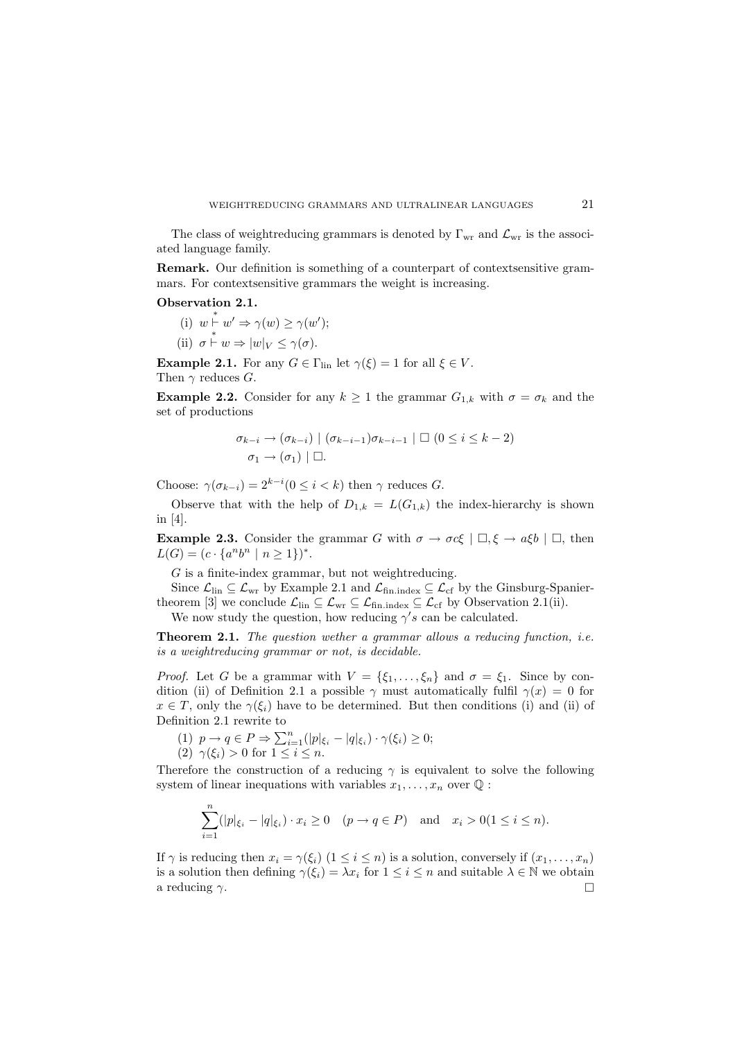#### WEIGHTREDUCING GRAMMARS AND ULTRALINEAR LANGUAGES 21

The class of weightreducing grammars is denoted by  $\Gamma_{\text{wr}}$  and  $\mathcal{L}_{\text{wr}}$  is the associated language family.

**Remark.** Our definition is something of a counterpart of contexts ensitive grammars. For contextsensitive grammars the weight is increasing.

**Observation 2.1.**

- (i)  $w \stackrel{*}{\vdash} w' \Rightarrow \gamma(w) \geq \gamma(w')$ ;
- (ii)  $\sigma \overset{*}{\vdash} w \Rightarrow |w|_V \leq \gamma(\sigma)$ .

**Example 2.1.** For any  $G \in \Gamma_{lin}$  let  $\gamma(\xi) = 1$  for all  $\xi \in V$ . Then  $\gamma$  reduces G.

**Example 2.2.** Consider for any  $k \geq 1$  the grammar  $G_{1,k}$  with  $\sigma = \sigma_k$  and the set of productions

$$
\sigma_{k-i} \to (\sigma_{k-i}) \mid (\sigma_{k-i-1})\sigma_{k-i-1} \mid \Box \ (0 \leq i \leq k-2)
$$
  

$$
\sigma_1 \to (\sigma_1) \mid \Box.
$$

Choose:  $\gamma(\sigma_{k-i}) = 2^{k-i} (0 \leq i < k)$  then  $\gamma$  reduces G.

Observe that with the help of  $D_{1,k} = L(G_{1,k})$  the index-hierarchy is shown in [4].

**Example 2.3.** Consider the grammar G with  $\sigma \to \sigma c\xi \mid \Box, \xi \to a\xi b \mid \Box$ , then  $L(G)=(c \cdot \{a^n b^n \mid n \geq 1\})^*$ .

 $G$  is a finite-index grammar, but not weightreducing.

Since  $\mathcal{L}_{\text{lin}}\subseteq\mathcal{L}_{\text{wr}}$  by Example 2.1 and  $\mathcal{L}_{\text{fin.index}}\subseteq\mathcal{L}_{\text{cf}}$  by the Ginsburg-Spaniertheorem [3] we conclude  $\mathcal{L}_{lin} \subseteq \mathcal{L}_{wr} \subseteq \mathcal{L}_{fin.index} \subseteq \mathcal{L}_{cf}$  by Observation 2.1(ii).

We now study the question, how reducing  $\gamma' s$  can be calculated.

**Theorem 2.1.** *The question wether a grammar allows a reducing function, i.e. is a weightreducing grammar or not, is decidable.*

*Proof.* Let G be a grammar with  $V = \{\xi_1, \ldots, \xi_n\}$  and  $\sigma = \xi_1$ . Since by condition (ii) of Definition 2.1 a possible  $\gamma$  must automatically fulfil  $\gamma(x) = 0$  for  $x \in T$ , only the  $\gamma(\xi_i)$  have to be determined. But then conditions (i) and (ii) of Definition 2.1 rewrite to

(1)  $p \rightarrow q \in P \Rightarrow \sum_{i=1}^{n} (|p|_{\xi_i} - |q|_{\xi_i}) \cdot \gamma(\xi_i) \geq 0;$ (2)  $\gamma(\xi_i) > 0$  for  $1 \leq i \leq n$ .

Therefore the construction of a reducing  $\gamma$  is equivalent to solve the following system of linear inequations with variables  $x_1, \ldots, x_n$  over  $\mathbb{Q}$ :

$$
\sum_{i=1}^{n} (|p|\xi_i - |q|\xi_i) \cdot x_i \ge 0 \quad (p \to q \in P) \quad \text{and} \quad x_i > 0 (1 \le i \le n).
$$

If  $\gamma$  is reducing then  $x_i = \gamma(\xi_i)$   $(1 \leq i \leq n)$  is a solution, conversely if  $(x_1, \ldots, x_n)$ is a solution then defining  $\gamma(\xi_i) = \lambda x_i$  for  $1 \leq i \leq n$  and suitable  $\lambda \in \mathbb{N}$  we obtain a reducing  $\gamma$ .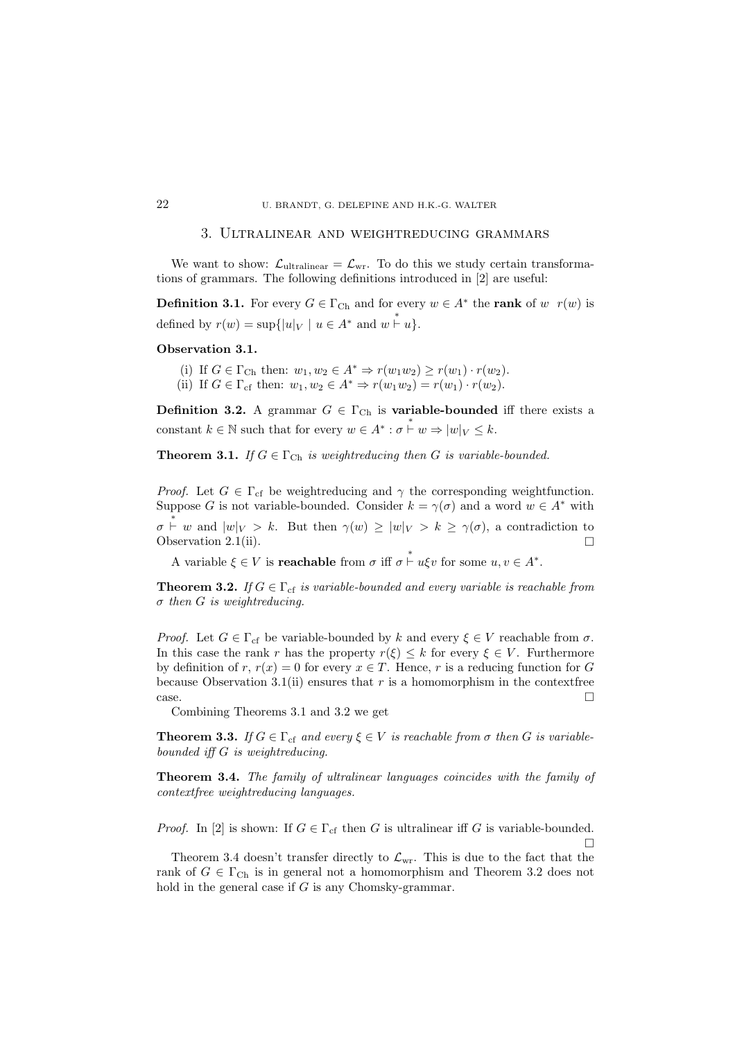## 22 U. BRANDT, G. DELEPINE AND H.K.-G. WALTER

#### 3. Ultralinear and weightreducing grammars

We want to show:  $\mathcal{L}_{\text{ultralinger}} = \mathcal{L}_{\text{wr}}$ . To do this we study certain transformations of grammars. The following definitions introduced in [2] are useful:

**Definition 3.1.** For every  $G \in \Gamma_{\text{Ch}}$  and for every  $w \in A^*$  the **rank** of w  $r(w)$  is defined by  $r(w) = \sup\{|u|_V \mid u \in A^* \text{ and } w \stackrel{*}{\vdash} u\}.$ 

#### **Observation 3.1.**

- (i) If  $G \in \Gamma_{\text{Ch}}$  then:  $w_1, w_2 \in A^* \Rightarrow r(w_1w_2) \geq r(w_1) \cdot r(w_2)$ .
- (ii) If  $G \in \Gamma_{\rm cf}$  then:  $w_1, w_2 \in A^* \Rightarrow r(w_1w_2) = r(w_1) \cdot r(w_2)$ .

**Definition 3.2.** A grammar  $G \in \Gamma_{\text{Ch}}$  is **variable-bounded** iff there exists a constant  $k \in \mathbb{N}$  such that for every  $w \in A^* : \sigma \overset{*}{\vdash} w \Rightarrow |w|_V \leq k$ .

**Theorem 3.1.** *If*  $G \in \Gamma_{\text{Ch}}$  *is weightreducing then G is variable-bounded.* 

*Proof.* Let  $G \in \Gamma_{cf}$  be weightreducing and  $\gamma$  the corresponding weightfunction. Suppose G is not variable-bounded. Consider  $k = \gamma(\sigma)$  and a word  $w \in A^*$  with  $\sigma \stackrel{*}{\vdash} w$  and  $|w|_V > k$ . But then  $\gamma(w) \geq |w|_V > k \geq \gamma(\sigma)$ , a contradiction to Observation 2.1(ii).  $\square$ 

A variable  $\xi \in V$  is **reachable** from  $\sigma$  iff  $\sigma \stackrel{*}{\vdash} u\xi v$  for some  $u, v \in A^*$ .

**Theorem 3.2.** *If*  $G \in \Gamma_{cf}$  *is variable-bounded and every variable is reachable from* σ *then* G *is weightreducing.*

*Proof.* Let  $G \in \Gamma_{cf}$  be variable-bounded by k and every  $\xi \in V$  reachable from  $\sigma$ . In this case the rank r has the property  $r(\xi) \leq k$  for every  $\xi \in V$ . Furthermore by definition of r,  $r(x) = 0$  for every  $x \in T$ . Hence, r is a reducing function for G because Observation 3.1(ii) ensures that  $r$  is a homomorphism in the context free case.  $\Box$ 

Combining Theorems 3.1 and 3.2 we get

**Theorem 3.3.** If  $G \in \Gamma_{cf}$  and every  $\xi \in V$  is reachable from  $\sigma$  then G is variable*bounded iff* G *is weightreducing.*

**Theorem 3.4.** *The family of ultralinear languages coincides with the family of contextfree weightreducing languages.*

*Proof.* In [2] is shown: If  $G \in \Gamma_{cf}$  then G is ultralinear iff G is variable-bounded.  $\Box$ 

Theorem 3.4 doesn't transfer directly to  $\mathcal{L}_{\text{wr}}$ . This is due to the fact that the rank of  $G \in \Gamma_{\text{Ch}}$  is in general not a homomorphism and Theorem 3.2 does not hold in the general case if G is any Chomsky-grammar.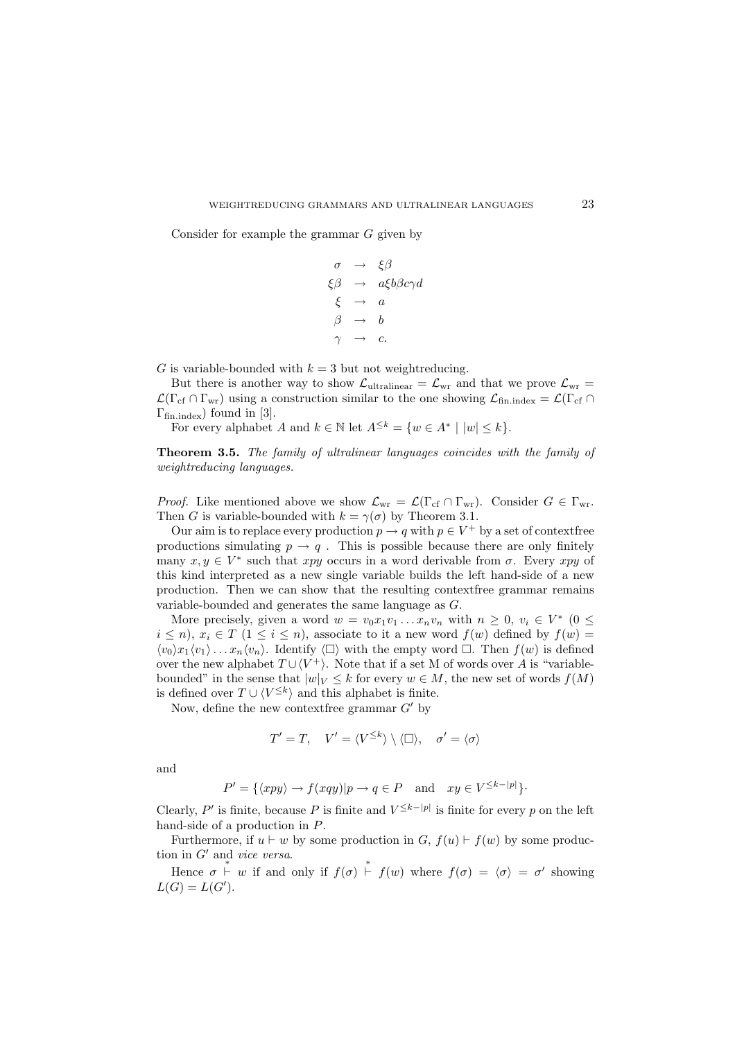#### WEIGHTREDUCING GRAMMARS AND ULTRALINEAR LANGUAGES 23

Consider for example the grammar  $G$  given by

$$
\begin{array}{rcl}\n\sigma & \rightarrow & \xi \beta \\
\xi \beta & \rightarrow & a \xi b \beta c \gamma d \\
\xi & \rightarrow & a \\
\beta & \rightarrow & b \\
\gamma & \rightarrow & c.\n\end{array}
$$

G is variable-bounded with  $k = 3$  but not weightreducing.

But there is another way to show  $\mathcal{L}_{\text{ultralinger}} = \mathcal{L}_{\text{wr}}$  and that we prove  $\mathcal{L}_{\text{wr}} =$  $\mathcal{L}(\Gamma_{cf} \cap \Gamma_{wr})$  using a construction similar to the one showing  $\mathcal{L}_{fin, index} = \mathcal{L}(\Gamma_{cf} \cap \Gamma_{wr})$  $\Gamma_{\text{fin,index}}$ ) found in [3].

For every alphabet A and  $k \in \mathbb{N}$  let  $A^{\leq k} = \{w \in A^* \mid |w| \leq k\}.$ 

**Theorem 3.5.** *The family of ultralinear languages coincides with the family of weightreducing languages.*

*Proof.* Like mentioned above we show  $\mathcal{L}_{wr} = \mathcal{L}(\Gamma_{cf} \cap \Gamma_{wr})$ . Consider  $G \in \Gamma_{wr}$ . Then G is variable-bounded with  $k = \gamma(\sigma)$  by Theorem 3.1.

Our aim is to replace every production  $p \to q$  with  $p \in V^+$  by a set of contextfree productions simulating  $p \to q$ . This is possible because there are only finitely many  $x, y \in V^*$  such that xpy occurs in a word derivable from  $\sigma$ . Every xpy of this kind interpreted as a new single variable builds the left hand-side of a new production. Then we can show that the resulting contextfree grammar remains variable-bounded and generates the same language as G.

More precisely, given a word  $w = v_0 x_1 v_1 \dots x_n v_n$  with  $n > 0$ ,  $v_i \in V^*$  (0 <  $i \leq n$ ,  $x_i \in T$   $(1 \leq i \leq n)$ , associate to it a new word  $f(w)$  defined by  $f(w)$  $\langle v_0 \rangle x_1 \langle v_1 \rangle \dots x_n \langle v_n \rangle$ . Identify  $\langle \Box \rangle$  with the empty word  $\Box$ . Then  $f(w)$  is defined over the new alphabet  $T \cup \langle V^+ \rangle$ . Note that if a set M of words over A is "variablebounded" in the sense that  $|w|_V \leq k$  for every  $w \in M$ , the new set of words  $f(M)$ is defined over  $T \cup \langle V^{\leq k} \rangle$  and this alphabet is finite.

Now, define the new contextfree grammar  $G'$  by

$$
T'=T,\quad V'=\langle V^{\leq k}\rangle\setminus\langle \square\rangle,\quad \sigma'=\langle \sigma\rangle
$$

and

$$
P' = \{ \langle xpy \rangle \to f(xqy) | p \to q \in P \text{ and } xy \in V^{\leq k - |p|} \}.
$$

Clearly, P' is finite, because P is finite and  $V^{\leq k-|p|}$  is finite for every p on the left hand-side of a production in P.

Furthermore, if  $u \vdash w$  by some production in  $G, f(u) \vdash f(w)$  by some production in G' and *vice versa*.

Hence  $\sigma \stackrel{*}{\vdash} w$  if and only if  $f(\sigma) \stackrel{*}{\vdash} f(w)$  where  $f(\sigma) = \langle \sigma \rangle = \sigma'$  showing  $L(G) = L(G').$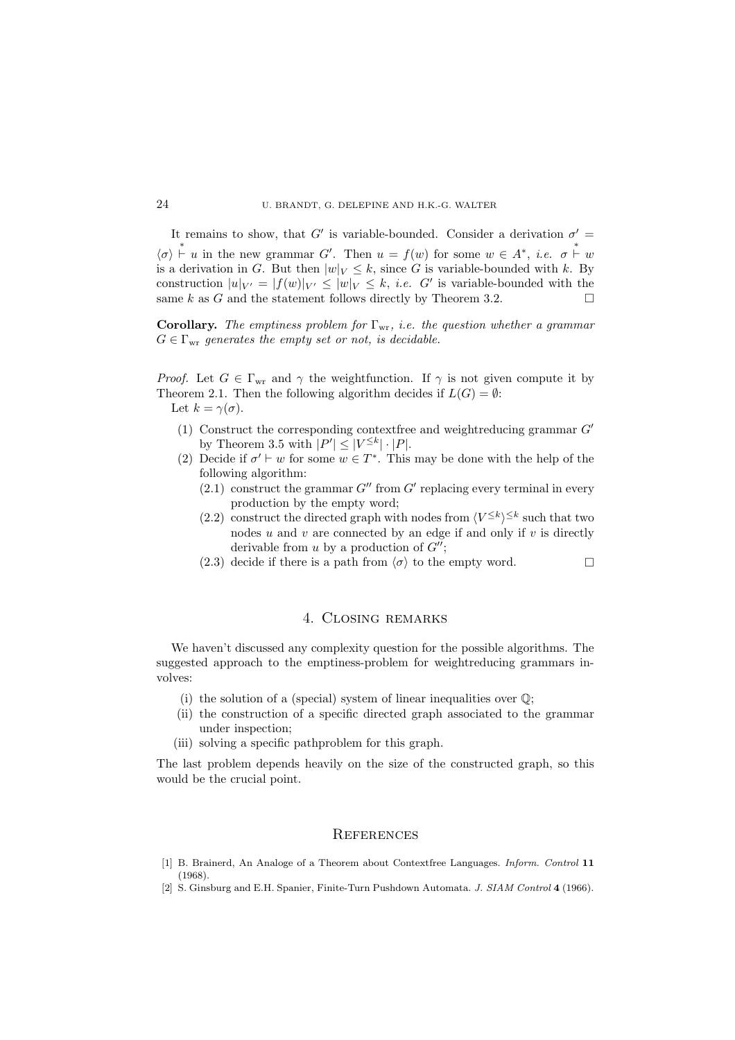## 24 U. BRANDT, G. DELEPINE AND H.K.-G. WALTER

It remains to show, that G' is variable-bounded. Consider a derivation  $\sigma' =$  $\langle \sigma \rangle \stackrel{*}{\vdash} u$  in the new grammar G'. Then  $u = f(w)$  for some  $w \in A^*$ , *i.e.*  $\sigma \stackrel{*}{\vdash} w$ is a derivation in G. But then  $|w|_V \leq k$ , since G is variable-bounded with k. By construction  $|u|_{V'} = |f(w)|_{V'} \leq |w|_{V} \leq k$ , *i.e.* G' is variable-bounded with the same k as G and the statement follows directly by Theorem 3.2.

**Corollary.** *The emptiness problem for* Γwr*, i.e. the question whether a grammar*  $G \in \Gamma_{\text{wr}}$  generates the empty set or not, is decidable.

*Proof.* Let  $G \in \Gamma_{\text{wr}}$  and  $\gamma$  the weightfunction. If  $\gamma$  is not given compute it by Theorem 2.1. Then the following algorithm decides if  $L(G) = \emptyset$ : Let  $k = \gamma(\sigma)$ .

- (1) Construct the corresponding contextfree and weightreducing grammar  $G'$ by Theorem 3.5 with  $|P'| \leq |V^{\leq k}| \cdot |P|$ .
- (2) Decide if  $\sigma' \vdash w$  for some  $w \in T^*$ . This may be done with the help of the following algorithm:
	- $(2.1)$  construct the grammar G" from G' replacing every terminal in every production by the empty word;
	- (2.2) construct the directed graph with nodes from  $\langle V^{\leq k} \rangle^{\leq k}$  such that two nodes  $u$  and  $v$  are connected by an edge if and only if  $v$  is directly derivable from u by a production of  $G''$ ;
	- (2.3) decide if there is a path from  $\langle \sigma \rangle$  to the empty word.

# 4. Closing remarks

We haven't discussed any complexity question for the possible algorithms. The suggested approach to the emptiness-problem for weightreducing grammars involves:

- (i) the solution of a (special) system of linear inequalities over  $\mathbb{Q}$ ;
- (ii) the construction of a specific directed graph associated to the grammar under inspection;
- (iii) solving a specific pathproblem for this graph.

The last problem depends heavily on the size of the constructed graph, so this would be the crucial point.

#### **REFERENCES**

- [1] B. Brainerd, An Analoge of a Theorem about Contextfree Languages. *Inform. Control* **11** (1968).
- [2] S. Ginsburg and E.H. Spanier, Finite-Turn Pushdown Automata. *J. SIAM Control* **4** (1966).